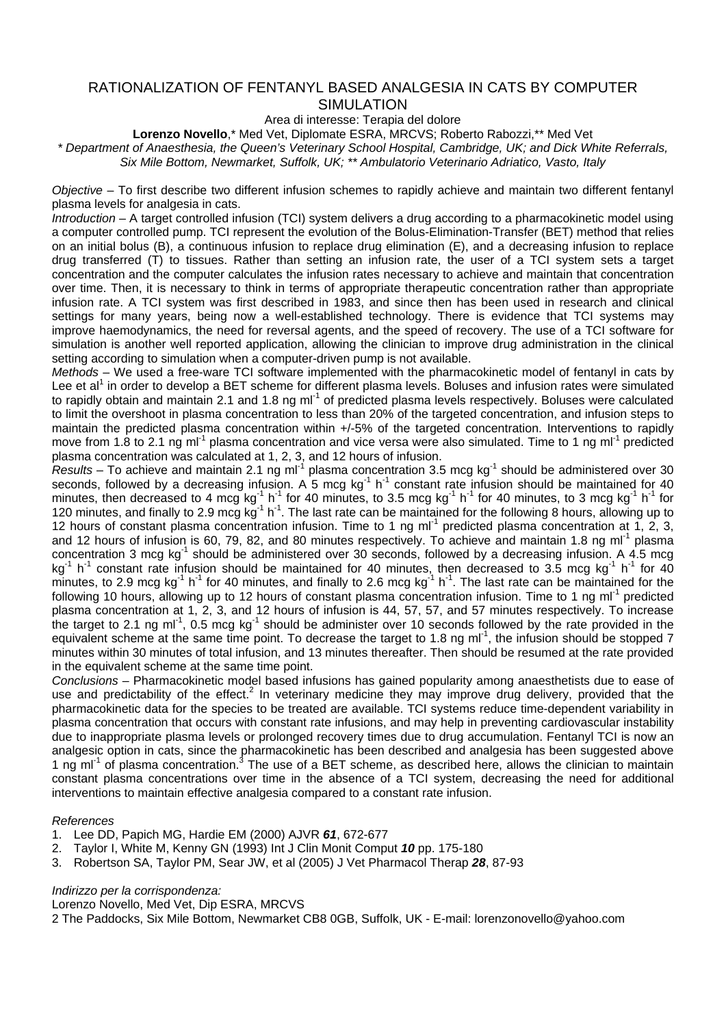# RATIONALIZATION OF FENTANYL BASED ANALGESIA IN CATS BY COMPUTER SIMULATION

Area di interesse: Terapia del dolore

**Lorenzo Novello**,\* Med Vet, Diplomate ESRA, MRCVS; Roberto Rabozzi,\*\* Med Vet

*\* Department of Anaesthesia, the Queen's Veterinary School Hospital, Cambridge, UK; and Dick White Referrals, Six Mile Bottom, Newmarket, Suffolk, UK; \*\* Ambulatorio Veterinario Adriatico, Vasto, Italy* 

*Objective* – To first describe two different infusion schemes to rapidly achieve and maintain two different fentanyl plasma levels for analgesia in cats.

*Introduction* – A target controlled infusion (TCI) system delivers a drug according to a pharmacokinetic model using a computer controlled pump. TCI represent the evolution of the Bolus-Elimination-Transfer (BET) method that relies on an initial bolus (B), a continuous infusion to replace drug elimination (E), and a decreasing infusion to replace drug transferred (T) to tissues. Rather than setting an infusion rate, the user of a TCI system sets a target concentration and the computer calculates the infusion rates necessary to achieve and maintain that concentration over time. Then, it is necessary to think in terms of appropriate therapeutic concentration rather than appropriate infusion rate. A TCI system was first described in 1983, and since then has been used in research and clinical settings for many years, being now a well-established technology. There is evidence that TCI systems may improve haemodynamics, the need for reversal agents, and the speed of recovery. The use of a TCI software for simulation is another well reported application, allowing the clinician to improve drug administration in the clinical setting according to simulation when a computer-driven pump is not available.

*Methods* – We used a free-ware TCI software implemented with the pharmacokinetic model of fentanyl in cats by Lee et al<sup>1</sup> in order to develop a BET scheme for different plasma levels. Boluses and infusion rates were simulated to rapidly obtain and maintain 2.1 and 1.8 ng ml<sup>-1</sup> of predicted plasma levels respectively. Boluses were calculated to limit the overshoot in plasma concentration to less than 20% of the targeted concentration, and infusion steps to maintain the predicted plasma concentration within +/-5% of the targeted concentration. Interventions to rapidly move from 1.8 to 2.1 ng ml<sup>-1</sup> plasma concentration and vice versa were also simulated. Time to 1 ng ml<sup>-1</sup> predicted plasma concentration was calculated at 1, 2, 3, and 12 hours of infusion.

*Results* – To achieve and maintain 2.1 ng ml<sup>-1</sup> plasma concentration 3.5 mcg kg<sup>-1</sup> should be administered over 30 seconds, followed by a decreasing infusion. A 5 mcg  $kg^{-1}$  h<sup>-1</sup> constant rate infusion should be maintained for 40 minutes, then decreased to 4 mcg kg<sup>-1</sup> h<sup>-1</sup> for 40 minutes, to 3.5 mcg kg<sup>-1</sup> h<sup>-1</sup> for 40 minutes, to 3 mcg kg<sup>-1</sup> h<sup>-1</sup> for 120 minutes, and finally to 2.9 mcg  $kg^{-1} h^{-1}$ . The last rate can be maintained for the following 8 hours, allowing up to 12 hours of constant plasma concentration infusion. Time to 1 ng ml<sup>-1</sup> predicted plasma concentration at 1, 2, 3, and 12 hours of infusion is 60, 79, 82, and 80 minutes respectively. To achieve and maintain 1.8 ng ml<sup>-1</sup> plasma concentration 3 mcg kg<sup>-1</sup> should be administered over 30 seconds, followed by a decreasing infusion. A 4.5 mcg kg<sup>-1</sup> h<sup>-1</sup> constant rate infusion should be maintained for 40 minutes, then decreased to 3.5 mcg kg<sup>-1</sup> h<sup>-1</sup> for 40 minutes, to 2.9 mcg kg<sup>-1</sup> h<sup>-1</sup> for 40 minutes, and finally to 2.6 mcg kg<sup>-1</sup> h<sup>-1</sup>. The last rate can be maintained for the following 10 hours, allowing up to 12 hours of constant plasma concentration infusion. Time to 1 ng ml<sup>-1</sup> predicted plasma concentration at 1, 2, 3, and 12 hours of infusion is 44, 57, 57, and 57 minutes respectively. To increase the target to 2.1 ng ml<sup>-1</sup>, 0.5 mcg kg<sup>-1</sup> should be administer over 10 seconds followed by the rate provided in the equivalent scheme at the same time point. To decrease the target to 1.8 ng ml<sup>-1</sup>, the infusion should be stopped 7 minutes within 30 minutes of total infusion, and 13 minutes thereafter. Then should be resumed at the rate provided in the equivalent scheme at the same time point.

*Conclusions* – Pharmacokinetic model based infusions has gained popularity among anaesthetists due to ease of use and predictability of the effect.<sup>2</sup> In veterinary medicine they may improve drug delivery, provided that the pharmacokinetic data for the species to be treated are available. TCI systems reduce time-dependent variability in plasma concentration that occurs with constant rate infusions, and may help in preventing cardiovascular instability due to inappropriate plasma levels or prolonged recovery times due to drug accumulation. Fentanyl TCI is now an analgesic option in cats, since the pharmacokinetic has been described and analgesia has been suggested above 1 ng ml<sup>-1</sup> of plasma concentration.<sup>3</sup> The use of a BET scheme, as described here, allows the clinician to maintain constant plasma concentrations over time in the absence of a TCI system, decreasing the need for additional interventions to maintain effective analgesia compared to a constant rate infusion.

## *References*

- 1. Lee DD, Papich MG, Hardie EM (2000) AJVR *61*, 672-677
- 2. Taylor I, White M, Kenny GN (1993) Int J Clin Monit Comput *10* pp. 175-180
- 3. Robertson SA, Taylor PM, Sear JW, et al (2005) J Vet Pharmacol Therap *28*, 87-93

### *Indirizzo per la corrispondenza:*

Lorenzo Novello, Med Vet, Dip ESRA, MRCVS

2 The Paddocks, Six Mile Bottom, Newmarket CB8 0GB, Suffolk, UK - E-mail: lorenzonovello@yahoo.com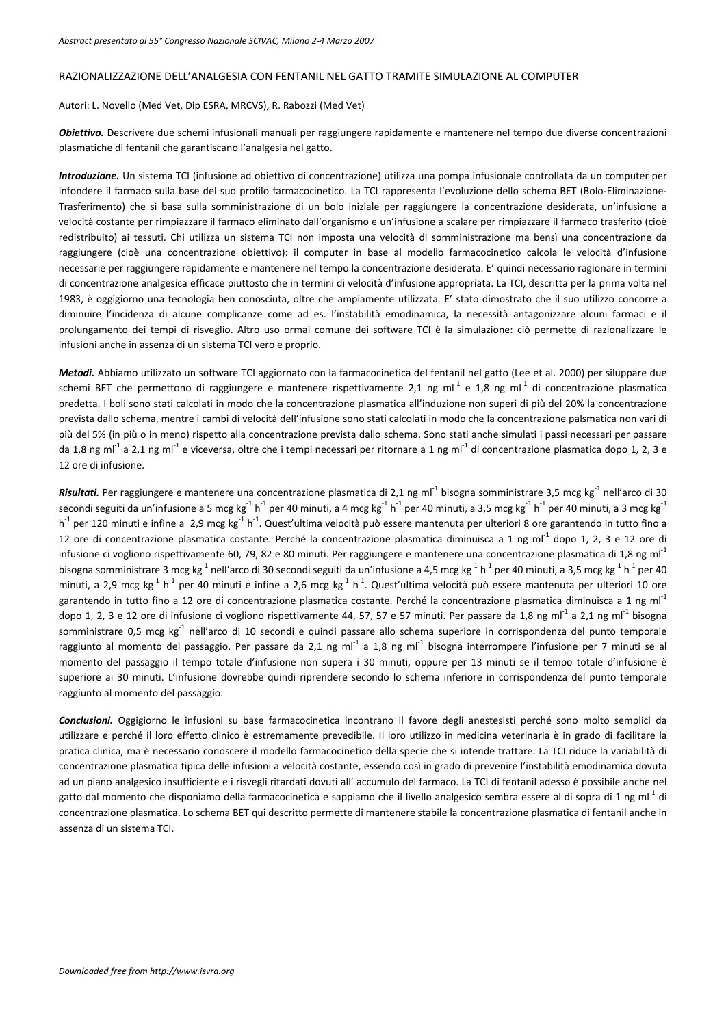#### RAZIONALIZZAZIONE DELL'ANALGESIA CON FENTANIL NEL GATTO TRAMITE SIMULAZIONE AL COMPUTER

#### Autori: L. Novello (Med Vet, Dip ESRA, MRCVS), R. Rabozzi (Med Vet)

*Obiettivo.* Descrivere due schemi infusionali manuali per raggiungere rapidamente e mantenere nel tempo due diverse concentrazioni plasmatiche di fentanil che garantiscano l'analgesia nel gatto.

*Introduzione.* Un sistema TCI (infusione ad obiettivo di concentrazione) utilizza una pompa infusionale controllata da un computer per infondere il farmaco sulla base del suo profilo farmacocinetico. La TCI rappresenta l'evoluzione dello schema BET (Bolo‐Eliminazione‐ Trasferimento) che si basa sulla somministrazione di un bolo iniziale per raggiungere la concentrazione desiderata, un'infusione a velocità costante per rimpiazzare il farmaco eliminato dall'organismo e un'infusione a scalare per rimpiazzare il farmaco trasferito (cioè redistribuito) ai tessuti. Chi utilizza un sistema TCI non imposta una velocità di somministrazione ma bensì una concentrazione da raggiungere (cioè una concentrazione obiettivo): il computer in base al modello farmacocinetico calcola le velocità d'infusione necessarie per raggiungere rapidamente e mantenere nel tempo la concentrazione desiderata. E' quindi necessario ragionare in termini di concentrazione analgesica efficace piuttosto che in termini di velocità d'infusione appropriata. La TCI, descritta per la prima volta nel 1983, è oggigiorno una tecnologia ben conosciuta, oltre che ampiamente utilizzata. E' stato dimostrato che il suo utilizzo concorre a diminuire l'incidenza di alcune complicanze come ad es. l'instabilità emodinamica, la necessità antagonizzare alcuni farmaci e il prolungamento dei tempi di risveglio. Altro uso ormai comune dei software TCI è la simulazione: ciò permette di razionalizzare le infusioni anche in assenza di un sistema TCI vero e proprio.

*Metodi.* Abbiamo utilizzato un software TCI aggiornato con la farmacocinetica del fentanil nel gatto (Lee et al. 2000) per siluppare due schemi BET che permettono di raggiungere e mantenere rispettivamente 2,1 ng ml<sup>-1</sup> e 1,8 ng ml<sup>-1</sup> di concentrazione plasmatica predetta. I boli sono stati calcolati in modo che la concentrazione plasmatica all'induzione non superi di più del 20% la concentrazione prevista dallo schema, mentre i cambi di velocità dell'infusione sono stati calcolati in modo che la concentrazione palsmatica non vari di più del 5% (in più o in meno) rispetto alla concentrazione prevista dallo schema. Sono stati anche simulati i passi necessari per passare da 1,8 ng ml<sup>-1</sup> a 2,1 ng ml<sup>-1</sup> e viceversa, oltre che i tempi necessari per ritornare a 1 ng ml<sup>-1</sup> di concentrazione plasmatica dopo 1, 2, 3 e 12 ore di infusione.

**Risultati.** Per raggiungere e mantenere una concentrazione plasmatica di 2,1 ng ml<sup>-1</sup> bisogna somministrare 3,5 mcg kg<sup>-1</sup> nell'arco di 30 secondi seguiti da un'infusione a 5 mcg kg<sup>-1</sup> h<sup>-1</sup> per 40 minuti, a 4 mcg kg<sup>-1</sup> h<sup>-1</sup> per 40 minuti, a 3,5 mcg kg<sup>-1</sup> h<sup>-1</sup> per 40 minuti, a 3 mcg kg<sup>-1</sup>  $h^1$  per 120 minuti e infine a 2,9 mcg kg $1$   $h^1$ . Quest'ultima velocità può essere mantenuta per ulteriori 8 ore garantendo in tutto fino a 12 ore di concentrazione plasmatica costante. Perché la concentrazione plasmatica diminuisca a 1 ng ml<sup>-1</sup> dopo 1, 2, 3 e 12 ore di infusione ci vogliono rispettivamente 60, 79, 82 e 80 minuti. Per raggiungere e mantenere una concentrazione plasmatica di 1,8 ng m $I^1$ bisogna somministrare 3 mcg kg<sup>-1</sup> nell'arco di 30 secondi seguiti da un'infusione a 4,5 mcg kg<sup>-1</sup> h<sup>-1</sup> per 40 minuti, a 3,5 mcg kg<sup>-1</sup> h<sup>-1</sup> per 40 minuti, a 2,9 mcg kg $^1$  h $^1$  per 40 minuti e infine a 2,6 mcg kg $^1$  h $^1$ . Quest'ultima velocità può essere mantenuta per ulteriori 10 ore garantendo in tutto fino a 12 ore di concentrazione plasmatica costante. Perché la concentrazione plasmatica diminuisca a 1 ng ml<sup>-1</sup> dopo 1, 2, 3 e 12 ore di infusione ci vogliono rispettivamente 44, 57, 57 e 57 minuti. Per passare da 1,8 ng m $1^1$  a 2,1 ng m $1^1$  bisogna somministrare 0,5 mcg kg<sup>-1</sup> nell'arco di 10 secondi e quindi passare allo schema superiore in corrispondenza del punto temporale raggiunto al momento del passaggio. Per passare da 2,1 ng ml<sup>-1</sup> a 1,8 ng ml<sup>-1</sup> bisogna interrompere l'infusione per 7 minuti se al momento del passaggio il tempo totale d'infusione non supera i 30 minuti, oppure per 13 minuti se il tempo totale d'infusione è superiore ai 30 minuti. L'infusione dovrebbe quindi riprendere secondo lo schema inferiore in corrispondenza del punto temporale raggiunto al momento del passaggio.

*Conclusioni.* Oggigiorno le infusioni su base farmacocinetica incontrano il favore degli anestesisti perché sono molto semplici da utilizzare e perché il loro effetto clinico è estremamente prevedibile. Il loro utilizzo in medicina veterinaria è in grado di facilitare la pratica clinica, ma è necessario conoscere il modello farmacocinetico della specie che si intende trattare. La TCI riduce la variabilità di concentrazione plasmatica tipica delle infusioni a velocità costante, essendo così in grado di prevenire l'instabilità emodinamica dovuta ad un piano analgesico insufficiente e i risvegli ritardati dovuti all' accumulo del farmaco. La TCI di fentanil adesso è possibile anche nel gatto dal momento che disponiamo della farmacocinetica e sappiamo che il livello analgesico sembra essere al di sopra di 1 ng ml<sup>-1</sup> di concentrazione plasmatica. Lo schema BET qui descritto permette di mantenere stabile la concentrazione plasmatica di fentanil anche in assenza di un sistema TCI.